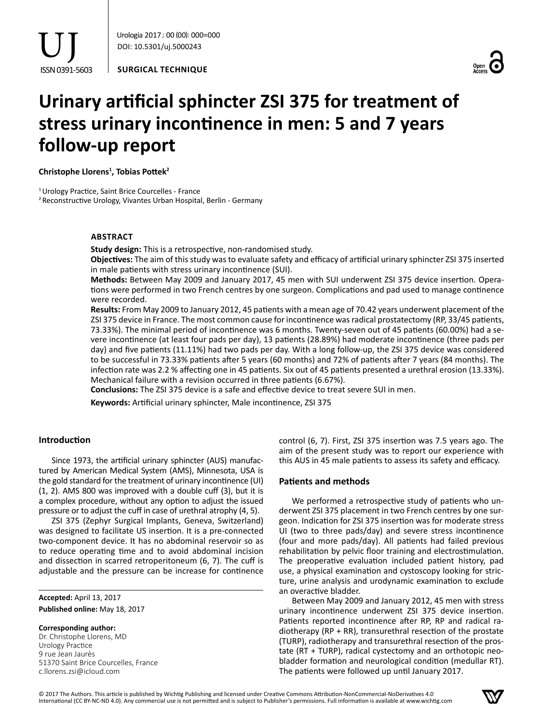**SURGICAL TECHNIQUE**



# **Urinary artificial sphincter ZSI 375 for treatment of stress urinary incontinence in men: 5 and 7 years follow-up report**

**Christophe Llorens<sup>1</sup> , Tobias Pottek<sup>2</sup>**

<sup>1</sup> Urology Practice, Saint Brice Courcelles - France

2Reconstructive Urology, Vivantes Urban Hospital, Berlin - Germany

## **Abstract**

**Study design:** This is a retrospective, non-randomised study.

**Objectives:** The aim of this study was to evaluate safety and efficacy of artificial urinary sphincter ZSI 375 inserted in male patients with stress urinary incontinence (SUI).

**Methods:** Between May 2009 and January 2017, 45 men with SUI underwent ZSI 375 device insertion. Operations were performed in two French centres by one surgeon. Complications and pad used to manage continence were recorded.

**Results:** From May 2009 to January 2012, 45 patients with a mean age of 70.42 years underwent placement of the ZSI 375 device in France. The most common cause for incontinence was radical prostatectomy (RP, 33/45 patients, 73.33%). The minimal period of incontinence was 6 months. Twenty-seven out of 45 patients (60.00%) had a severe incontinence (at least four pads per day), 13 patients (28.89%) had moderate incontinence (three pads per day) and five patients (11.11%) had two pads per day. With a long follow-up, the ZSI 375 device was considered to be successful in 73.33% patients after 5 years (60 months) and 72% of patients after 7 years (84 months). The infection rate was 2.2 % affecting one in 45 patients. Six out of 45 patients presented a urethral erosion (13.33%). Mechanical failure with a revision occurred in three patients (6.67%).

**Conclusions:** The ZSI 375 device is a safe and effective device to treat severe SUI in men.

**Keywords:** Artificial urinary sphincter, Male incontinence, ZSI 375

## **Introduction**

Since 1973, the artificial urinary sphincter (AUS) manufactured by American Medical System (AMS), Minnesota, USA is the gold standard for the treatment of urinary incontinence (UI) (1, 2). AMS 800 was improved with a double cuff (3), but it is a complex procedure, without any option to adjust the issued pressure or to adjust the cuff in case of urethral atrophy (4, 5).

ZSI 375 (Zephyr Surgical Implants, Geneva, Switzerland) was designed to facilitate US insertion. It is a pre-connected two-component device. It has no abdominal reservoir so as to reduce operating time and to avoid abdominal incision and dissection in scarred retroperitoneum (6, 7). The cuff is adjustable and the pressure can be increase for continence

**Accepted:** April 13, 2017 **Published online:** May 18, 2017

#### **Corresponding author:**

Dr. Christophe Llorens, MD Urology Practice 9 rue Jean Jaurès 51370 Saint Brice Courcelles, France c.llorens.zsi@icloud.com

control (6, 7). First, ZSI 375 insertion was 7.5 years ago. The aim of the present study was to report our experience with this AUS in 45 male patients to assess its safety and efficacy.

## **Patients and methods**

We performed a retrospective study of patients who underwent ZSI 375 placement in two French centres by one surgeon. Indication for ZSI 375 insertion was for moderate stress UI (two to three pads/day) and severe stress incontinence (four and more pads/day). All patients had failed previous rehabilitation by pelvic floor training and electrostimulation. The preoperative evaluation included patient history, pad use, a physical examination and cystoscopy looking for stricture, urine analysis and urodynamic examination to exclude an overactive bladder.

Between May 2009 and January 2012, 45 men with stress urinary incontinence underwent ZSI 375 device insertion. Patients reported incontinence after RP, RP and radical radiotherapy (RP + RR), transurethral resection of the prostate (TURP), radiotherapy and transurethral resection of the prostate (RT + TURP), radical cystectomy and an orthotopic neobladder formation and neurological condition (medullar RT). The patients were followed up until January 2017.

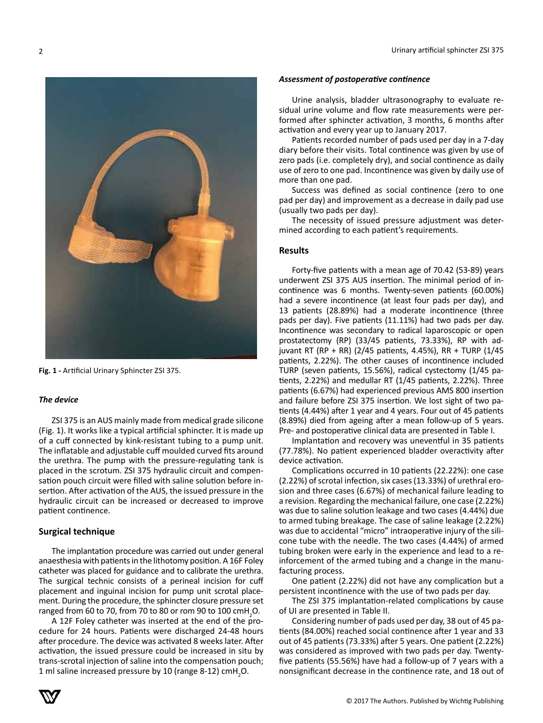

**Fig. 1 -** Artificial Urinary Sphincter ZSI 375.

## *The device*

ZSI 375 is an AUS mainly made from medical grade silicone (Fig. 1). It works like a typical artificial sphincter. It is made up of a cuff connected by kink-resistant tubing to a pump unit. The inflatable and adjustable cuff moulded curved fits around the urethra. The pump with the pressure-regulating tank is placed in the scrotum. ZSI 375 hydraulic circuit and compensation pouch circuit were filled with saline solution before insertion. After activation of the AUS, the issued pressure in the hydraulic circuit can be increased or decreased to improve patient continence.

## **Surgical technique**

The implantation procedure was carried out under general anaesthesia with patients in the lithotomy position. A 16F Foley catheter was placed for guidance and to calibrate the urethra. The surgical technic consists of a perineal incision for cuff placement and inguinal incision for pump unit scrotal placement. During the procedure, the sphincter closure pressure set ranged from 60 to 70, from 70 to 80 or rom 90 to 100  $\text{cm}$ H<sub>2</sub>O.

A 12F Foley catheter was inserted at the end of the procedure for 24 hours. Patients were discharged 24-48 hours after procedure. The device was activated 8 weeks later. After activation, the issued pressure could be increased in situ by trans-scrotal injection of saline into the compensation pouch; 1 ml saline increased pressure by 10 (range 8-12) cmH<sub>2</sub>O.

#### *Assessment of postoperative continence*

Urine analysis, bladder ultrasonography to evaluate residual urine volume and flow rate measurements were performed after sphincter activation, 3 months, 6 months after activation and every year up to January 2017.

Patients recorded number of pads used per day in a 7-day diary before their visits. Total continence was given by use of zero pads (i.e. completely dry), and social continence as daily use of zero to one pad. Incontinence was given by daily use of more than one pad.

Success was defined as social continence (zero to one pad per day) and improvement as a decrease in daily pad use (usually two pads per day).

The necessity of issued pressure adjustment was determined according to each patient's requirements.

### **Results**

Forty-five patients with a mean age of 70.42 (53-89) years underwent ZSI 375 AUS insertion. The minimal period of incontinence was 6 months. Twenty-seven patients (60.00%) had a severe incontinence (at least four pads per day), and 13 patients (28.89%) had a moderate incontinence (three pads per day). Five patients (11.11%) had two pads per day. Incontinence was secondary to radical laparoscopic or open prostatectomy (RP) (33/45 patients, 73.33%), RP with adjuvant RT (RP + RR) (2/45 patients, 4.45%), RR + TURP (1/45 patients, 2.22%). The other causes of incontinence included TURP (seven patients, 15.56%), radical cystectomy (1/45 patients, 2.22%) and medullar RT (1/45 patients, 2.22%). Three patients (6.67%) had experienced previous AMS 800 insertion and failure before ZSI 375 insertion. We lost sight of two patients (4.44%) after 1 year and 4 years. Four out of 45 patients (8.89%) died from ageing after a mean follow-up of 5 years. Pre- and postoperative clinical data are presented in Table I.

Implantation and recovery was uneventful in 35 patients (77.78%). No patient experienced bladder overactivity after device activation.

Complications occurred in 10 patients (22.22%): one case (2.22%) of scrotal infection, six cases (13.33%) of urethral erosion and three cases (6.67%) of mechanical failure leading to a revision. Regarding the mechanical failure, one case (2.22%) was due to saline solution leakage and two cases (4.44%) due to armed tubing breakage. The case of saline leakage (2.22%) was due to accidental "micro" intraoperative injury of the silicone tube with the needle. The two cases (4.44%) of armed tubing broken were early in the experience and lead to a reinforcement of the armed tubing and a change in the manufacturing process.

One patient (2.22%) did not have any complication but a persistent incontinence with the use of two pads per day.

The ZSI 375 implantation-related complications by cause of UI are presented in Table II.

Considering number of pads used per day, 38 out of 45 patients (84.00%) reached social continence after 1 year and 33 out of 45 patients (73.33%) after 5 years. One patient (2.22%) was considered as improved with two pads per day. Twentyfive patients (55.56%) have had a follow-up of 7 years with a nonsignificant decrease in the continence rate, and 18 out of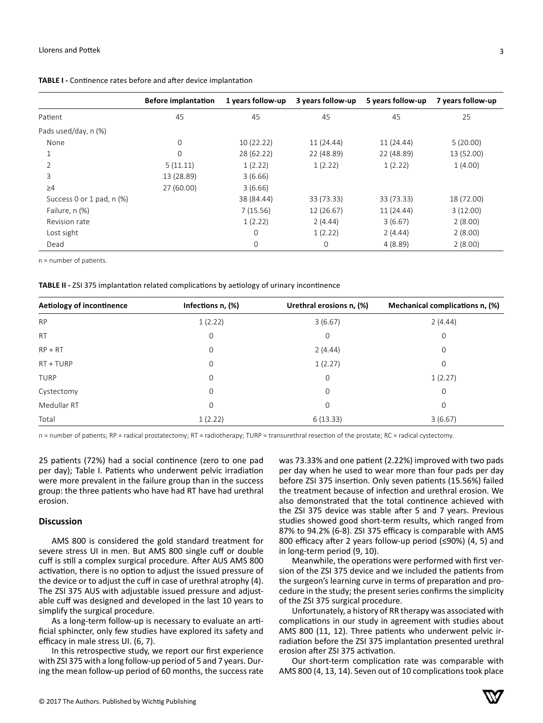|                           | <b>Before implantation</b> | 1 years follow-up | 3 years follow-up | 5 years follow-up | 7 years follow-up |
|---------------------------|----------------------------|-------------------|-------------------|-------------------|-------------------|
| Patient                   | 45                         | 45                | 45                | 45                | 25                |
| Pads used/day, n (%)      |                            |                   |                   |                   |                   |
| None                      | 0                          | 10(22.22)         | 11 (24.44)        | 11 (24.44)        | 5(20.00)          |
|                           | 0                          | 28 (62.22)        | 22 (48.89)        | 22 (48.89)        | 13 (52.00)        |
|                           | 5(11.11)                   | 1(2.22)           | 1(2.22)           | 1(2.22)           | 1(4.00)           |
| 3                         | 13 (28.89)                 | 3(6.66)           |                   |                   |                   |
| $\geq 4$                  | 27 (60.00)                 | 3(6.66)           |                   |                   |                   |
| Success 0 or 1 pad, n (%) |                            | 38 (84.44)        | 33 (73.33)        | 33 (73.33)        | 18 (72.00)        |
| Failure, n (%)            |                            | 7(15.56)          | 12 (26.67)        | 11 (24.44)        | 3(12.00)          |
| Revision rate             |                            | 1(2.22)           | 2(4.44)           | 3(6.67)           | 2(8.00)           |
| Lost sight                |                            | $\mathbf 0$       | 1(2.22)           | 2(4.44)           | 2(8.00)           |
| Dead                      |                            | $\mathbf 0$       | 0                 | 4(8.89)           | 2(8.00)           |
|                           |                            |                   |                   |                   |                   |

**TABLE I -** Continence rates before and after device implantation

n = number of patients.

**TABLE II -** ZSI 375 implantation related complications by aetiology of urinary incontinence

| Aetiology of incontinence | Infections n, (%) | Urethral erosions n, (%) | Mechanical complications n, (%) |
|---------------------------|-------------------|--------------------------|---------------------------------|
| <b>RP</b>                 | 1(2.22)           | 3(6.67)                  | 2(4.44)                         |
| <b>RT</b>                 | $\mathbf 0$       | $\mathbf 0$              | $\mathbf 0$                     |
| $RP + RT$                 | $\mathbf 0$       | 2(4.44)                  | 0                               |
| RT + TURP                 | $\mathbf 0$       | 1(2.27)                  | $\mathbf 0$                     |
| <b>TURP</b>               | $\mathbf 0$       | $\mathbf 0$              | 1(2.27)                         |
| Cystectomy                | $\mathbf 0$       | $\mathbf 0$              | $\mathbf 0$                     |
| Medullar RT               | 0                 | $\mathbf 0$              | $\Omega$                        |
| Total                     | 1(2.22)           | 6(13.33)                 | 3(6.67)                         |

n = number of patients; RP = radical prostatectomy; RT = radiotherapy; TURP = transurethral resection of the prostate; RC = radical cystectomy.

25 patients (72%) had a social continence (zero to one pad per day); Table I. Patients who underwent pelvic irradiation were more prevalent in the failure group than in the success group: the three patients who have had RT have had urethral erosion.

#### **Discussion**

AMS 800 is considered the gold standard treatment for severe stress UI in men. But AMS 800 single cuff or double cuff is still a complex surgical procedure. After AUS AMS 800 activation, there is no option to adjust the issued pressure of the device or to adjust the cuff in case of urethral atrophy (4). The ZSI 375 AUS with adjustable issued pressure and adjustable cuff was designed and developed in the last 10 years to simplify the surgical procedure.

As a long-term follow-up is necessary to evaluate an artificial sphincter, only few studies have explored its safety and efficacy in male stress UI. (6, 7).

In this retrospective study, we report our first experience with ZSI 375 with a long follow-up period of 5 and 7 years. During the mean follow-up period of 60 months, the success rate was 73.33% and one patient (2.22%) improved with two pads per day when he used to wear more than four pads per day before ZSI 375 insertion. Only seven patients (15.56%) failed the treatment because of infection and urethral erosion. We also demonstrated that the total continence achieved with the ZSI 375 device was stable after 5 and 7 years. Previous studies showed good short-term results, which ranged from 87% to 94.2% (6-8). ZSI 375 efficacy is comparable with AMS 800 efficacy after 2 years follow-up period (≤90%) (4, 5) and in long-term period (9, 10).

Meanwhile, the operations were performed with first version of the ZSI 375 device and we included the patients from the surgeon's learning curve in terms of preparation and procedure in the study; the present series confirms the simplicity of the ZSI 375 surgical procedure.

Unfortunately, a history of RR therapy was associated with complications in our study in agreement with studies about AMS 800 (11, 12). Three patients who underwent pelvic irradiation before the ZSI 375 implantation presented urethral erosion after ZSI 375 activation.

Our short-term complication rate was comparable with AMS 800 (4, 13, 14). Seven out of 10 complications took place